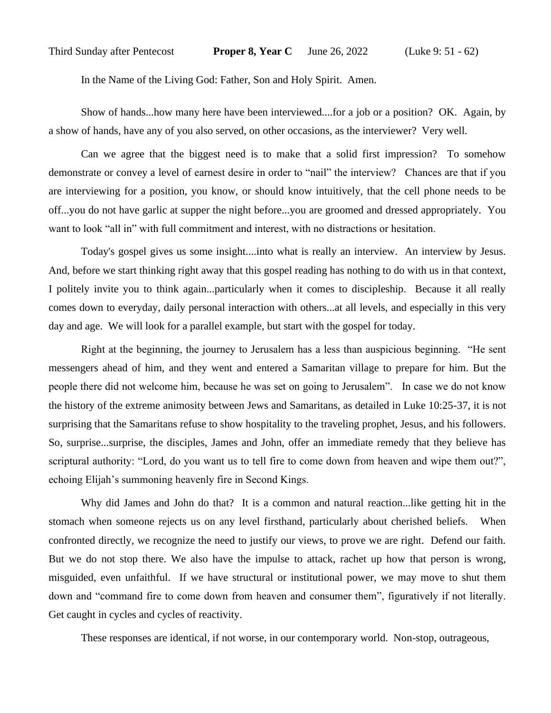In the Name of the Living God: Father, Son and Holy Spirit. Amen.

Show of hands...how many here have been interviewed....for a job or a position? OK. Again, by a show of hands, have any of you also served, on other occasions, as the interviewer? Very well.

Can we agree that the biggest need is to make that a solid first impression? To somehow demonstrate or convey a level of earnest desire in order to "nail" the interview? Chances are that if you are interviewing for a position, you know, or should know intuitively, that the cell phone needs to be off...you do not have garlic at supper the night before...you are groomed and dressed appropriately. You want to look "all in" with full commitment and interest, with no distractions or hesitation.

Today's gospel gives us some insight....into what is really an interview. An interview by Jesus. And, before we start thinking right away that this gospel reading has nothing to do with us in that context, I politely invite you to think again...particularly when it comes to discipleship. Because it all really comes down to everyday, daily personal interaction with others...at all levels, and especially in this very day and age. We will look for a parallel example, but start with the gospel for today.

Right at the beginning, the journey to Jerusalem has a less than auspicious beginning. "He sent messengers ahead of him, and they went and entered a Samaritan village to prepare for him. But the people there did not welcome him, because he was set on going to Jerusalem". In case we do not know the history of the extreme animosity between Jews and Samaritans, as detailed in Luke 10:25-37, it is not surprising that the Samaritans refuse to show hospitality to the traveling prophet, Jesus, and his followers. So, surprise...surprise, the disciples, James and John, offer an immediate remedy that they believe has scriptural authority: "Lord, do you want us to tell fire to come down from heaven and wipe them out?", echoing Elijah's summoning heavenly fire in Second Kings.

Why did James and John do that? It is a common and natural reaction...like getting hit in the stomach when someone rejects us on any level firsthand, particularly about cherished beliefs. When confronted directly, we recognize the need to justify our views, to prove we are right. Defend our faith. But we do not stop there. We also have the impulse to attack, rachet up how that person is wrong, misguided, even unfaithful. If we have structural or institutional power, we may move to shut them down and "command fire to come down from heaven and consumer them", figuratively if not literally. Get caught in cycles and cycles of reactivity.

These responses are identical, if not worse, in our contemporary world. Non-stop, outrageous,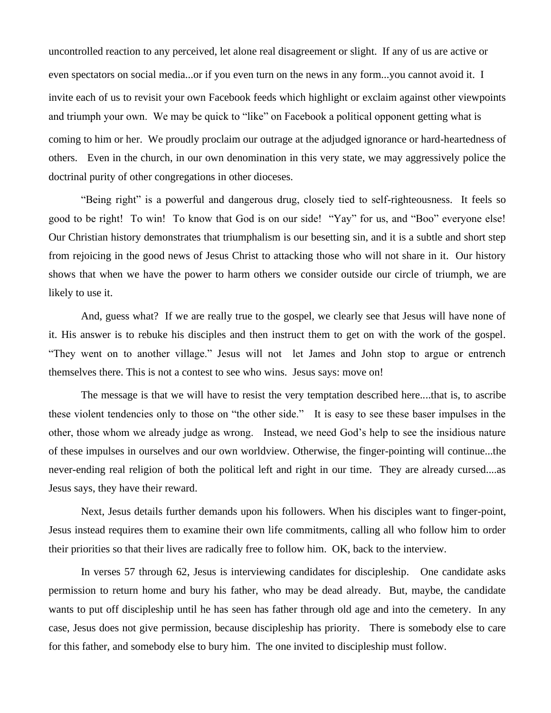uncontrolled reaction to any perceived, let alone real disagreement or slight. If any of us are active or even spectators on social media...or if you even turn on the news in any form...you cannot avoid it. I invite each of us to revisit your own Facebook feeds which highlight or exclaim against other viewpoints and triumph your own. We may be quick to "like" on Facebook a political opponent getting what is coming to him or her. We proudly proclaim our outrage at the adjudged ignorance or hard-heartedness of others. Even in the church, in our own denomination in this very state, we may aggressively police the doctrinal purity of other congregations in other dioceses.

"Being right" is a powerful and dangerous drug, closely tied to self-righteousness. It feels so good to be right! To win! To know that God is on our side! "Yay" for us, and "Boo" everyone else! Our Christian history demonstrates that triumphalism is our besetting sin, and it is a subtle and short step from rejoicing in the good news of Jesus Christ to attacking those who will not share in it. Our history shows that when we have the power to harm others we consider outside our circle of triumph, we are likely to use it.

And, guess what? If we are really true to the gospel, we clearly see that Jesus will have none of it. His answer is to rebuke his disciples and then instruct them to get on with the work of the gospel. "They went on to another village." Jesus will not let James and John stop to argue or entrench themselves there. This is not a contest to see who wins. Jesus says: move on!

The message is that we will have to resist the very temptation described here....that is, to ascribe these violent tendencies only to those on "the other side." It is easy to see these baser impulses in the other, those whom we already judge as wrong. Instead, we need God's help to see the insidious nature of these impulses in ourselves and our own worldview. Otherwise, the finger-pointing will continue...the never-ending real religion of both the political left and right in our time. They are already cursed....as Jesus says, they have their reward.

Next, Jesus details further demands upon his followers. When his disciples want to finger-point, Jesus instead requires them to examine their own life commitments, calling all who follow him to order their priorities so that their lives are radically free to follow him. OK, back to the interview.

In verses 57 through 62, Jesus is interviewing candidates for discipleship. One candidate asks permission to return home and bury his father, who may be dead already. But, maybe, the candidate wants to put off discipleship until he has seen has father through old age and into the cemetery. In any case, Jesus does not give permission, because discipleship has priority. There is somebody else to care for this father, and somebody else to bury him. The one invited to discipleship must follow.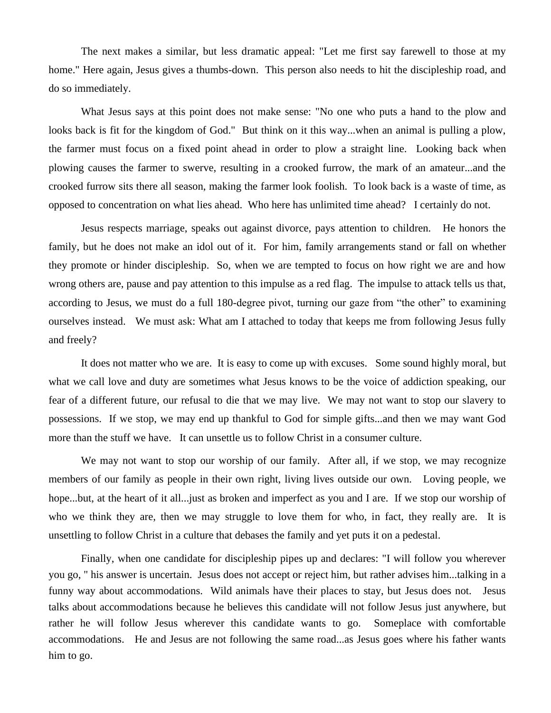The next makes a similar, but less dramatic appeal: "Let me first say farewell to those at my home." Here again, Jesus gives a thumbs-down. This person also needs to hit the discipleship road, and do so immediately.

What Jesus says at this point does not make sense: "No one who puts a hand to the plow and looks back is fit for the kingdom of God." But think on it this way...when an animal is pulling a plow, the farmer must focus on a fixed point ahead in order to plow a straight line. Looking back when plowing causes the farmer to swerve, resulting in a crooked furrow, the mark of an amateur...and the crooked furrow sits there all season, making the farmer look foolish. To look back is a waste of time, as opposed to concentration on what lies ahead. Who here has unlimited time ahead? I certainly do not.

Jesus respects marriage, speaks out against divorce, pays attention to children. He honors the family, but he does not make an idol out of it. For him, family arrangements stand or fall on whether they promote or hinder discipleship. So, when we are tempted to focus on how right we are and how wrong others are, pause and pay attention to this impulse as a red flag. The impulse to attack tells us that, according to Jesus, we must do a full 180-degree pivot, turning our gaze from "the other" to examining ourselves instead. We must ask: What am I attached to today that keeps me from following Jesus fully and freely?

It does not matter who we are. It is easy to come up with excuses. Some sound highly moral, but what we call love and duty are sometimes what Jesus knows to be the voice of addiction speaking, our fear of a different future, our refusal to die that we may live. We may not want to stop our slavery to possessions. If we stop, we may end up thankful to God for simple gifts...and then we may want God more than the stuff we have. It can unsettle us to follow Christ in a consumer culture.

We may not want to stop our worship of our family. After all, if we stop, we may recognize members of our family as people in their own right, living lives outside our own. Loving people, we hope...but, at the heart of it all...just as broken and imperfect as you and I are. If we stop our worship of who we think they are, then we may struggle to love them for who, in fact, they really are. It is unsettling to follow Christ in a culture that debases the family and yet puts it on a pedestal.

Finally, when one candidate for discipleship pipes up and declares: "I will follow you wherever you go, " his answer is uncertain. Jesus does not accept or reject him, but rather advises him...talking in a funny way about accommodations. Wild animals have their places to stay, but Jesus does not. Jesus talks about accommodations because he believes this candidate will not follow Jesus just anywhere, but rather he will follow Jesus wherever this candidate wants to go. Someplace with comfortable accommodations. He and Jesus are not following the same road...as Jesus goes where his father wants him to go.